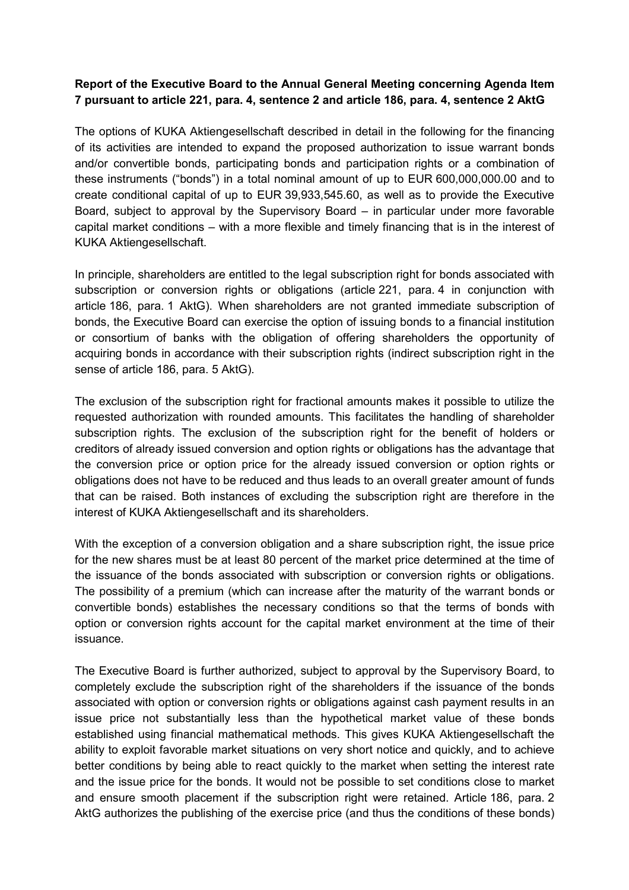## **Report of the Executive Board to the Annual General Meeting concerning Agenda Item 7 pursuant to article 221, para. 4, sentence 2 and article 186, para. 4, sentence 2 AktG**

The options of KUKA Aktiengesellschaft described in detail in the following for the financing of its activities are intended to expand the proposed authorization to issue warrant bonds and/or convertible bonds, participating bonds and participation rights or a combination of these instruments ("bonds") in a total nominal amount of up to EUR 600,000,000.00 and to create conditional capital of up to EUR 39,933,545.60, as well as to provide the Executive Board, subject to approval by the Supervisory Board – in particular under more favorable capital market conditions – with a more flexible and timely financing that is in the interest of KUKA Aktiengesellschaft.

In principle, shareholders are entitled to the legal subscription right for bonds associated with subscription or conversion rights or obligations (article 221, para, 4 in conjunction with article 186, para. 1 AktG). When shareholders are not granted immediate subscription of bonds, the Executive Board can exercise the option of issuing bonds to a financial institution or consortium of banks with the obligation of offering shareholders the opportunity of acquiring bonds in accordance with their subscription rights (indirect subscription right in the sense of article 186, para. 5 AktG).

The exclusion of the subscription right for fractional amounts makes it possible to utilize the requested authorization with rounded amounts. This facilitates the handling of shareholder subscription rights. The exclusion of the subscription right for the benefit of holders or creditors of already issued conversion and option rights or obligations has the advantage that the conversion price or option price for the already issued conversion or option rights or obligations does not have to be reduced and thus leads to an overall greater amount of funds that can be raised. Both instances of excluding the subscription right are therefore in the interest of KUKA Aktiengesellschaft and its shareholders.

With the exception of a conversion obligation and a share subscription right, the issue price for the new shares must be at least 80 percent of the market price determined at the time of the issuance of the bonds associated with subscription or conversion rights or obligations. The possibility of a premium (which can increase after the maturity of the warrant bonds or convertible bonds) establishes the necessary conditions so that the terms of bonds with option or conversion rights account for the capital market environment at the time of their issuance.

The Executive Board is further authorized, subject to approval by the Supervisory Board, to completely exclude the subscription right of the shareholders if the issuance of the bonds associated with option or conversion rights or obligations against cash payment results in an issue price not substantially less than the hypothetical market value of these bonds established using financial mathematical methods. This gives KUKA Aktiengesellschaft the ability to exploit favorable market situations on very short notice and quickly, and to achieve better conditions by being able to react quickly to the market when setting the interest rate and the issue price for the bonds. It would not be possible to set conditions close to market and ensure smooth placement if the subscription right were retained. Article 186, para. 2 AktG authorizes the publishing of the exercise price (and thus the conditions of these bonds)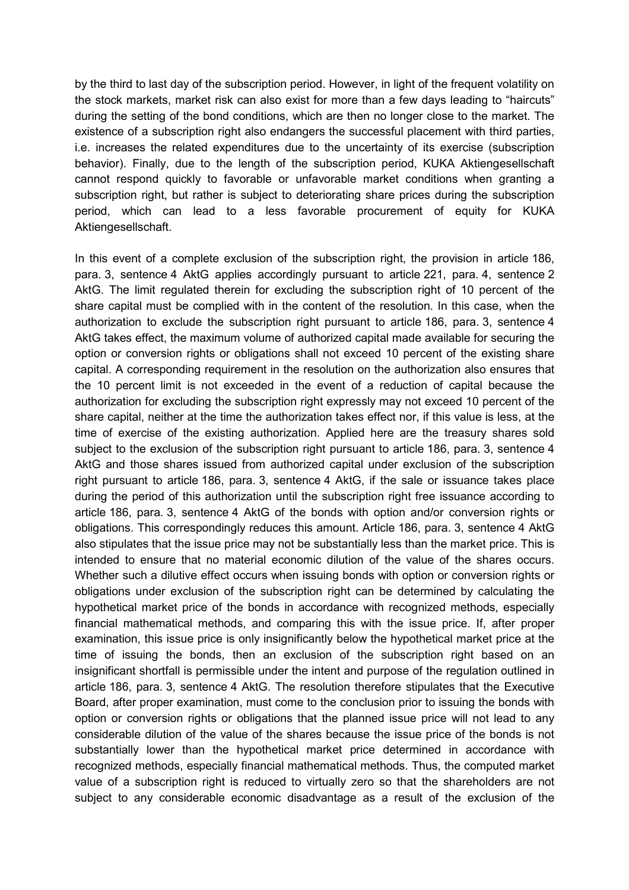by the third to last day of the subscription period. However, in light of the frequent volatility on the stock markets, market risk can also exist for more than a few days leading to "haircuts" during the setting of the bond conditions, which are then no longer close to the market. The existence of a subscription right also endangers the successful placement with third parties, i.e. increases the related expenditures due to the uncertainty of its exercise (subscription behavior). Finally, due to the length of the subscription period, KUKA Aktiengesellschaft cannot respond quickly to favorable or unfavorable market conditions when granting a subscription right, but rather is subject to deteriorating share prices during the subscription period, which can lead to a less favorable procurement of equity for KUKA Aktiengesellschaft.

In this event of a complete exclusion of the subscription right, the provision in article 186, para. 3, sentence 4 AktG applies accordingly pursuant to article 221, para. 4, sentence 2 AktG. The limit regulated therein for excluding the subscription right of 10 percent of the share capital must be complied with in the content of the resolution. In this case, when the authorization to exclude the subscription right pursuant to article 186, para. 3, sentence 4 AktG takes effect, the maximum volume of authorized capital made available for securing the option or conversion rights or obligations shall not exceed 10 percent of the existing share capital. A corresponding requirement in the resolution on the authorization also ensures that the 10 percent limit is not exceeded in the event of a reduction of capital because the authorization for excluding the subscription right expressly may not exceed 10 percent of the share capital, neither at the time the authorization takes effect nor, if this value is less, at the time of exercise of the existing authorization. Applied here are the treasury shares sold subject to the exclusion of the subscription right pursuant to article 186, para. 3, sentence 4 AktG and those shares issued from authorized capital under exclusion of the subscription right pursuant to article 186, para. 3, sentence 4 AktG, if the sale or issuance takes place during the period of this authorization until the subscription right free issuance according to article 186, para. 3, sentence 4 AktG of the bonds with option and/or conversion rights or obligations. This correspondingly reduces this amount. Article 186, para. 3, sentence 4 AktG also stipulates that the issue price may not be substantially less than the market price. This is intended to ensure that no material economic dilution of the value of the shares occurs. Whether such a dilutive effect occurs when issuing bonds with option or conversion rights or obligations under exclusion of the subscription right can be determined by calculating the hypothetical market price of the bonds in accordance with recognized methods, especially financial mathematical methods, and comparing this with the issue price. If, after proper examination, this issue price is only insignificantly below the hypothetical market price at the time of issuing the bonds, then an exclusion of the subscription right based on an insignificant shortfall is permissible under the intent and purpose of the regulation outlined in article 186, para. 3, sentence 4 AktG. The resolution therefore stipulates that the Executive Board, after proper examination, must come to the conclusion prior to issuing the bonds with option or conversion rights or obligations that the planned issue price will not lead to any considerable dilution of the value of the shares because the issue price of the bonds is not substantially lower than the hypothetical market price determined in accordance with recognized methods, especially financial mathematical methods. Thus, the computed market value of a subscription right is reduced to virtually zero so that the shareholders are not subject to any considerable economic disadvantage as a result of the exclusion of the